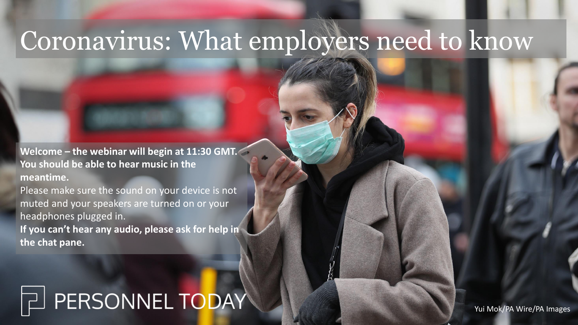## Coronavirus: What employers need to know

**Welcome – the webinar will begin at 11:30 GMT. You should be able to hear music in the meantime.**

Please make sure the sound on your device is not muted and your speakers are turned on or your headphones plugged in. **If you can't hear any audio, please ask for help in the chat pane.**

#### FERSONNEL TODAY

Yui Mok/PA Wire/PA Images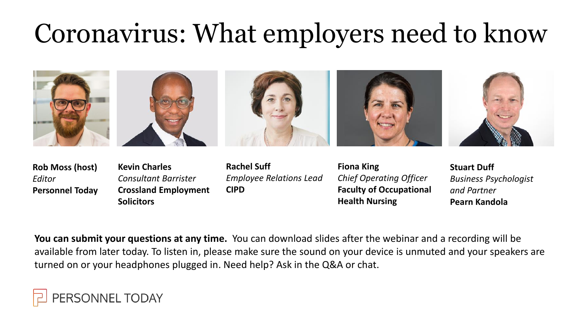# Coronavirus: What employers need to know



| <b>Rob Moss (host)</b> |  |
|------------------------|--|
| Editor                 |  |
| <b>Personnel Today</b> |  |

- **Kevin Charles** *Consultant Barrister* **Crossland Employment Solicitors**
- **Rachel Suff** *Employee Relations Lead* **CIPD**
- **Fiona King** *Chief Operating Officer* **Faculty of Occupational Health Nursing**
- **Stuart Duff** *Business Psychologist and Partner* **Pearn Kandola**

**You can submit your questions at any time.** You can download slides after the webinar and a recording will be available from later today. To listen in, please make sure the sound on your device is unmuted and your speakers are turned on or your headphones plugged in. Need help? Ask in the Q&A or chat.

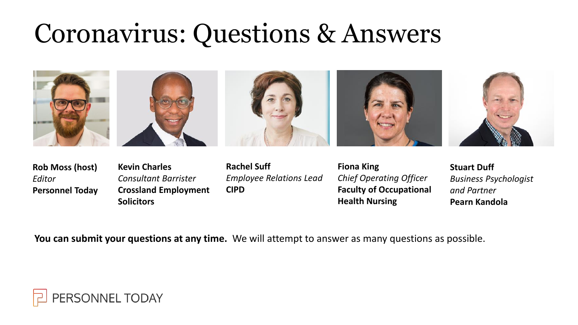## Coronavirus: Questions & Answers





**Rob Moss (host)** *Editor* **Personnel Today**

- **Kevin Charles** *Consultant Barrister* **Crossland Employment Solicitors**
- **Rachel Suff** *Employee Relations Lead* **CIPD**
- **Fiona King** *Chief Operating Officer* **Faculty of Occupational Health Nursing**
- **Stuart Duff** *Business Psychologist and Partner* **Pearn Kandola**

**You can submit your questions at any time.** We will attempt to answer as many questions as possible.